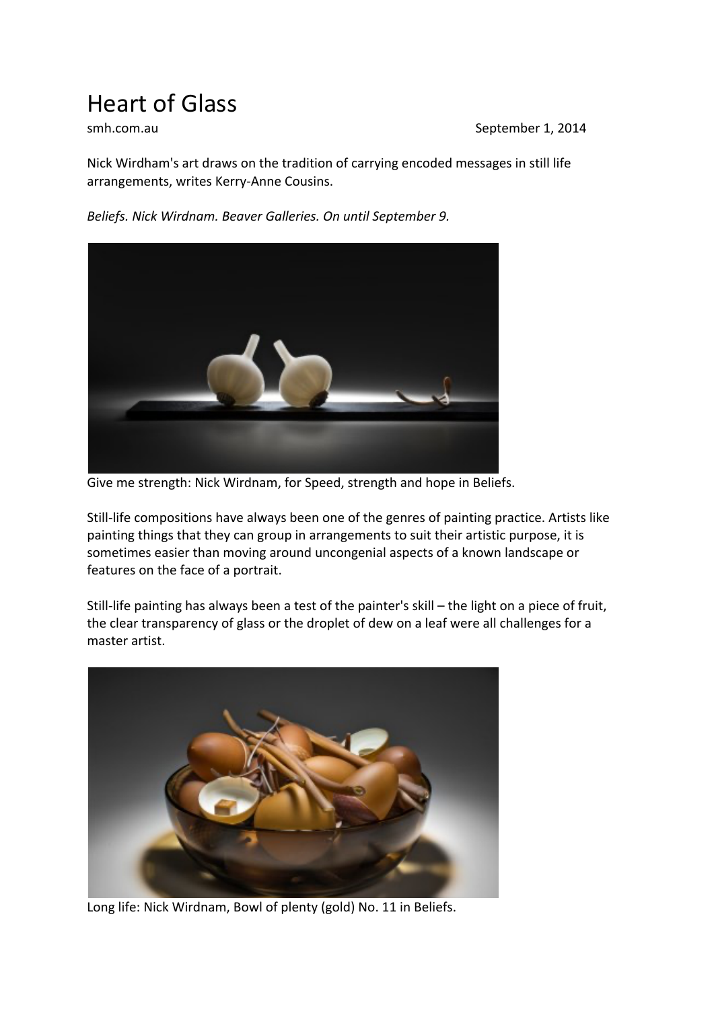## Heart of Glass

smh.com.au September 1, 2014

Nick Wirdham's art draws on the tradition of carrying encoded messages in still life arrangements, writes Kerry-Anne Cousins.

*Beliefs. Nick Wirdnam. Beaver Galleries. On until September 9.*



Give me strength: Nick Wirdnam, for Speed, strength and hope in Beliefs.

Still-life compositions have always been one of the genres of painting practice. Artists like painting things that they can group in arrangements to suit their artistic purpose, it is sometimes easier than moving around uncongenial aspects of a known landscape or features on the face of a portrait.

Still-life painting has always been a test of the painter's skill – the light on a piece of fruit, the clear transparency of glass or the droplet of dew on a leaf were all challenges for a master artist.



Long life: Nick Wirdnam, Bowl of plenty (gold) No. 11 in Beliefs.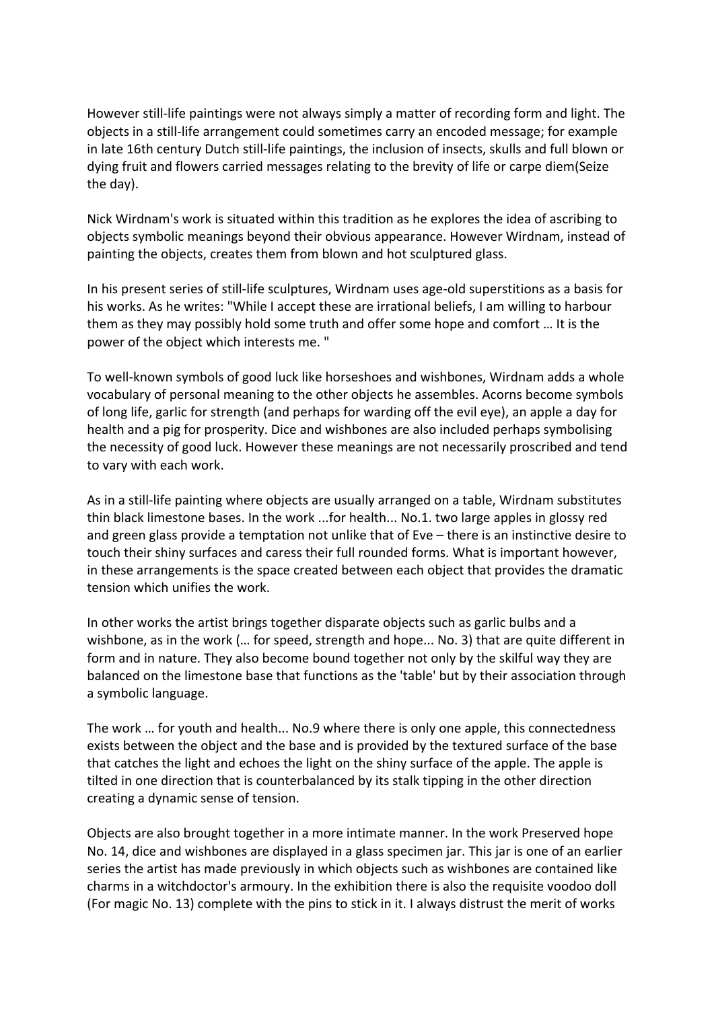However still-life paintings were not always simply a matter of recording form and light. The objects in a still-life arrangement could sometimes carry an encoded message; for example in late 16th century Dutch still-life paintings, the inclusion of insects, skulls and full blown or dying fruit and flowers carried messages relating to the brevity of life or carpe diem(Seize the day).

Nick Wirdnam's work is situated within this tradition as he explores the idea of ascribing to objects symbolic meanings beyond their obvious appearance. However Wirdnam, instead of painting the objects, creates them from blown and hot sculptured glass.

In his present series of still-life sculptures, Wirdnam uses age-old superstitions as a basis for his works. As he writes: "While I accept these are irrational beliefs, I am willing to harbour them as they may possibly hold some truth and offer some hope and comfort … It is the power of the object which interests me. "

To well-known symbols of good luck like horseshoes and wishbones, Wirdnam adds a whole vocabulary of personal meaning to the other objects he assembles. Acorns become symbols of long life, garlic for strength (and perhaps for warding off the evil eye), an apple a day for health and a pig for prosperity. Dice and wishbones are also included perhaps symbolising the necessity of good luck. However these meanings are not necessarily proscribed and tend to vary with each work.

As in a still-life painting where objects are usually arranged on a table, Wirdnam substitutes thin black limestone bases. In the work ...for health... No.1. two large apples in glossy red and green glass provide a temptation not unlike that of Eve – there is an instinctive desire to touch their shiny surfaces and caress their full rounded forms. What is important however, in these arrangements is the space created between each object that provides the dramatic tension which unifies the work.

In other works the artist brings together disparate objects such as garlic bulbs and a wishbone, as in the work (… for speed, strength and hope... No. 3) that are quite different in form and in nature. They also become bound together not only by the skilful way they are balanced on the limestone base that functions as the 'table' but by their association through a symbolic language.

The work … for youth and health... No.9 where there is only one apple, this connectedness exists between the object and the base and is provided by the textured surface of the base that catches the light and echoes the light on the shiny surface of the apple. The apple is tilted in one direction that is counterbalanced by its stalk tipping in the other direction creating a dynamic sense of tension.

Objects are also brought together in a more intimate manner. In the work Preserved hope No. 14, dice and wishbones are displayed in a glass specimen jar. This jar is one of an earlier series the artist has made previously in which objects such as wishbones are contained like charms in a witchdoctor's armoury. In the exhibition there is also the requisite voodoo doll (For magic No. 13) complete with the pins to stick in it. I always distrust the merit of works